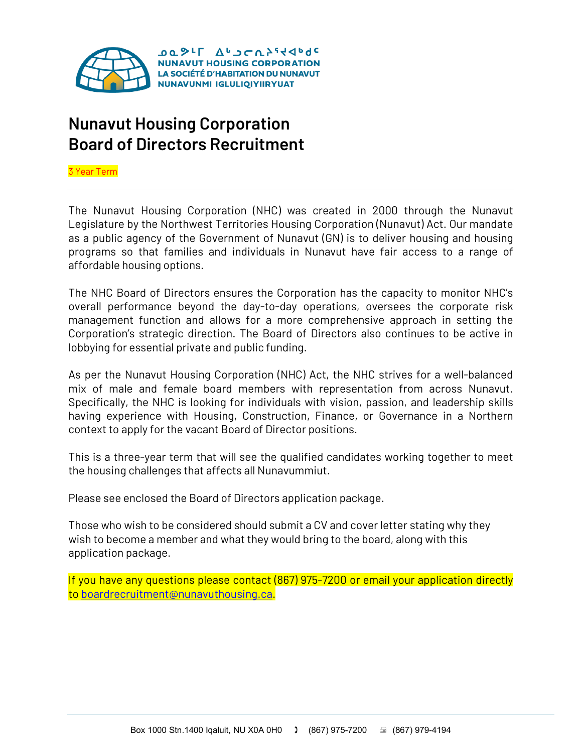

## **Nunavut Housing Corporation Board of Directors Recruitment**

3 Year Term

The Nunavut Housing Corporation (NHC) was created in 2000 through the Nunavut Legislature by the Northwest Territories Housing Corporation (Nunavut) Act. Our mandate as a public agency of the Government of Nunavut (GN) is to deliver housing and housing programs so that families and individuals in Nunavut have fair access to a range of affordable housing options.

The NHC Board of Directors ensures the Corporation has the capacity to monitor NHC's overall performance beyond the day-to-day operations, oversees the corporate risk management function and allows for a more comprehensive approach in setting the Corporation's strategic direction. The Board of Directors also continues to be active in lobbying for essential private and public funding.

As per the Nunavut Housing Corporation (NHC) Act, the NHC strives for a well-balanced mix of male and female board members with representation from across Nunavut. Specifically, the NHC is looking for individuals with vision, passion, and leadership skills having experience with Housing, Construction, Finance, or Governance in a Northern context to apply for the vacant Board of Director positions.

This is a three-year term that will see the qualified candidates working together to meet the housing challenges that affects all Nunavummiut.

Please see enclosed the Board of Directors application package.

Those who wish to be considered should submit a CV and cover letter stating why they wish to become a member and what they would bring to the board, along with this application package.

If you have any questions please contact (867) 975-7200 or email your application directly to [boardrecruitment@nunavuthousing.ca.](mailto:boardrecruitment@nunavuthousing.ca)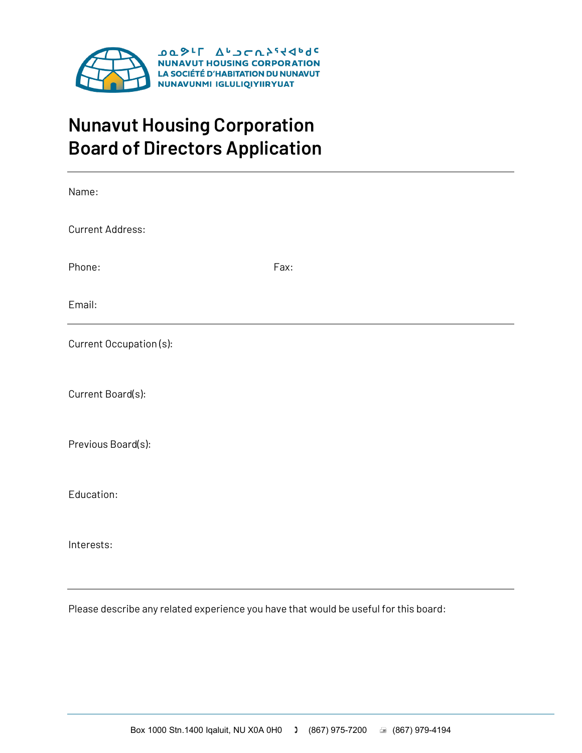

## **Nunavut Housing Corporation Board of Directors Application**

| Name:                                                                                |      |
|--------------------------------------------------------------------------------------|------|
| <b>Current Address:</b>                                                              |      |
| Phone:                                                                               | Fax: |
| Email:                                                                               |      |
| Current Occupation (s):                                                              |      |
| Current Board(s):                                                                    |      |
| Previous Board(s):                                                                   |      |
| Education:                                                                           |      |
| Interests:                                                                           |      |
| Please describe any related experience you have that would be useful for this board: |      |